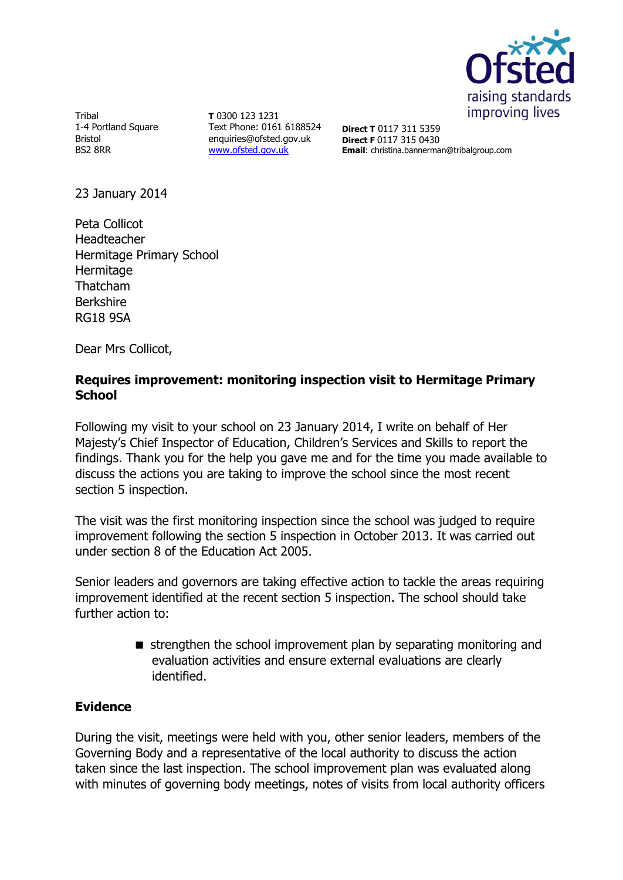

Tribal 1-4 Portland Square Bristol BS2 8RR

**T** 0300 123 1231 Text Phone: 0161 6188524 enquiries@ofsted.gov.uk [www.ofsted.gov.uk](http://www.ofsted.gov.uk/)

**Direct T** 0117 311 5359 **Direct F** 0117 315 0430 **Email**: christina.bannerman@tribalgroup.com

23 January 2014

Peta Collicot Headteacher Hermitage Primary School **Hermitage** Thatcham Berkshire RG18 9SA

Dear Mrs Collicot,

## **Requires improvement: monitoring inspection visit to Hermitage Primary School**

Following my visit to your school on 23 January 2014, I write on behalf of Her Majesty's Chief Inspector of Education, Children's Services and Skills to report the findings. Thank you for the help you gave me and for the time you made available to discuss the actions you are taking to improve the school since the most recent section 5 inspection.

The visit was the first monitoring inspection since the school was judged to require improvement following the section 5 inspection in October 2013. It was carried out under section 8 of the Education Act 2005.

Senior leaders and governors are taking effective action to tackle the areas requiring improvement identified at the recent section 5 inspection. The school should take further action to:

> strengthen the school improvement plan by separating monitoring and evaluation activities and ensure external evaluations are clearly identified.

# **Evidence**

During the visit, meetings were held with you, other senior leaders, members of the Governing Body and a representative of the local authority to discuss the action taken since the last inspection. The school improvement plan was evaluated along with minutes of governing body meetings, notes of visits from local authority officers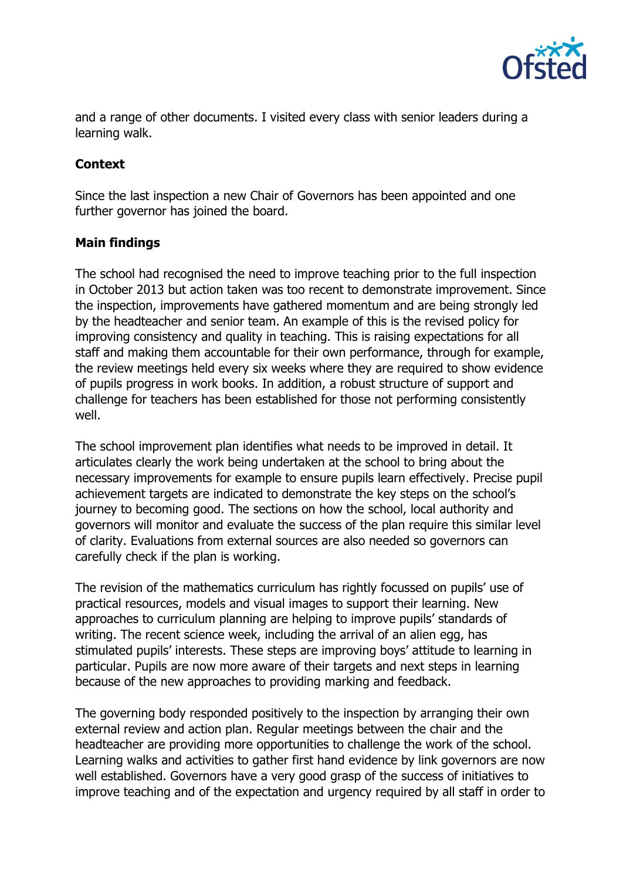

and a range of other documents. I visited every class with senior leaders during a learning walk.

# **Context**

Since the last inspection a new Chair of Governors has been appointed and one further governor has joined the board.

#### **Main findings**

The school had recognised the need to improve teaching prior to the full inspection in October 2013 but action taken was too recent to demonstrate improvement. Since the inspection, improvements have gathered momentum and are being strongly led by the headteacher and senior team. An example of this is the revised policy for improving consistency and quality in teaching. This is raising expectations for all staff and making them accountable for their own performance, through for example, the review meetings held every six weeks where they are required to show evidence of pupils progress in work books. In addition, a robust structure of support and challenge for teachers has been established for those not performing consistently well.

The school improvement plan identifies what needs to be improved in detail. It articulates clearly the work being undertaken at the school to bring about the necessary improvements for example to ensure pupils learn effectively. Precise pupil achievement targets are indicated to demonstrate the key steps on the school's journey to becoming good. The sections on how the school, local authority and governors will monitor and evaluate the success of the plan require this similar level of clarity. Evaluations from external sources are also needed so governors can carefully check if the plan is working.

The revision of the mathematics curriculum has rightly focussed on pupils' use of practical resources, models and visual images to support their learning. New approaches to curriculum planning are helping to improve pupils' standards of writing. The recent science week, including the arrival of an alien egg, has stimulated pupils' interests. These steps are improving boys' attitude to learning in particular. Pupils are now more aware of their targets and next steps in learning because of the new approaches to providing marking and feedback.

The governing body responded positively to the inspection by arranging their own external review and action plan. Regular meetings between the chair and the headteacher are providing more opportunities to challenge the work of the school. Learning walks and activities to gather first hand evidence by link governors are now well established. Governors have a very good grasp of the success of initiatives to improve teaching and of the expectation and urgency required by all staff in order to